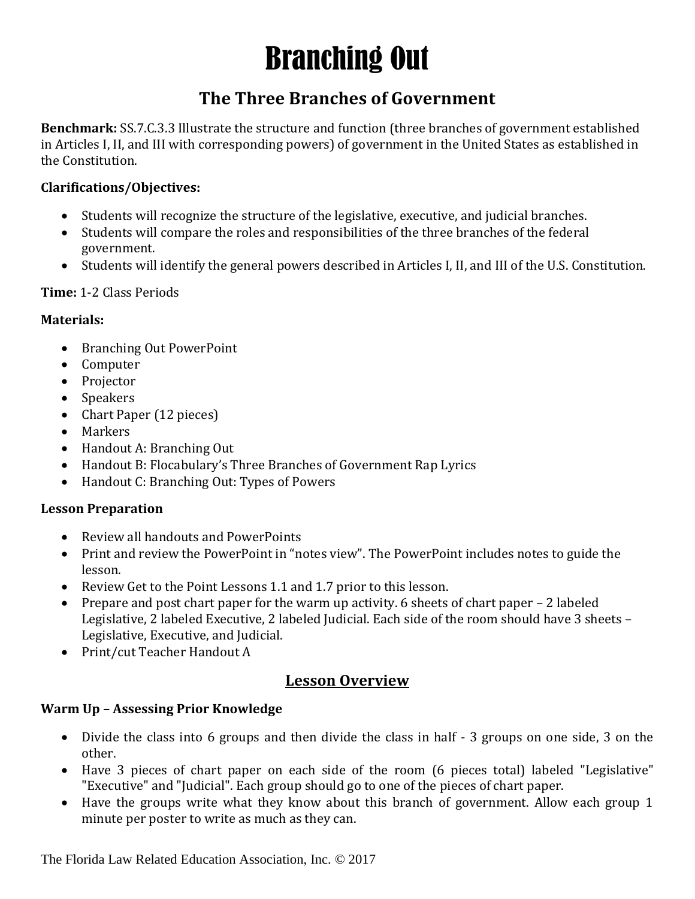# Branching Out

### **The Three Branches of Government**

**Benchmark:** SS.7.C.3.3 Illustrate the structure and function (three branches of government established in Articles I, II, and III with corresponding powers) of government in the United States as established in the Constitution.

#### **Clarifications/Objectives:**

- Students will recognize the structure of the legislative, executive, and judicial branches.
- Students will compare the roles and responsibilities of the three branches of the federal government.
- Students will identify the general powers described in Articles I, II, and III of the U.S. Constitution.

#### **Time:** 1-2 Class Periods

#### **Materials:**

- Branching Out PowerPoint
- Computer
- Projector
- Speakers
- Chart Paper (12 pieces)
- Markers
- Handout A: Branching Out
- Handout B: Flocabulary's Three Branches of Government Rap Lyrics
- Handout C: Branching Out: Types of Powers

#### **Lesson Preparation**

- Review all handouts and PowerPoints
- Print and review the PowerPoint in "notes view". The PowerPoint includes notes to guide the lesson.
- Review Get to the Point Lessons 1.1 and 1.7 prior to this lesson.
- Prepare and post chart paper for the warm up activity. 6 sheets of chart paper 2 labeled Legislative, 2 labeled Executive, 2 labeled Judicial. Each side of the room should have 3 sheets – Legislative, Executive, and Judicial.
- Print/cut Teacher Handout A

#### **Lesson Overview**

#### **Warm Up – Assessing Prior Knowledge**

- Divide the class into 6 groups and then divide the class in half 3 groups on one side, 3 on the other.
- Have 3 pieces of chart paper on each side of the room (6 pieces total) labeled "Legislative" "Executive" and "Judicial". Each group should go to one of the pieces of chart paper.
- Have the groups write what they know about this branch of government. Allow each group 1 minute per poster to write as much as they can.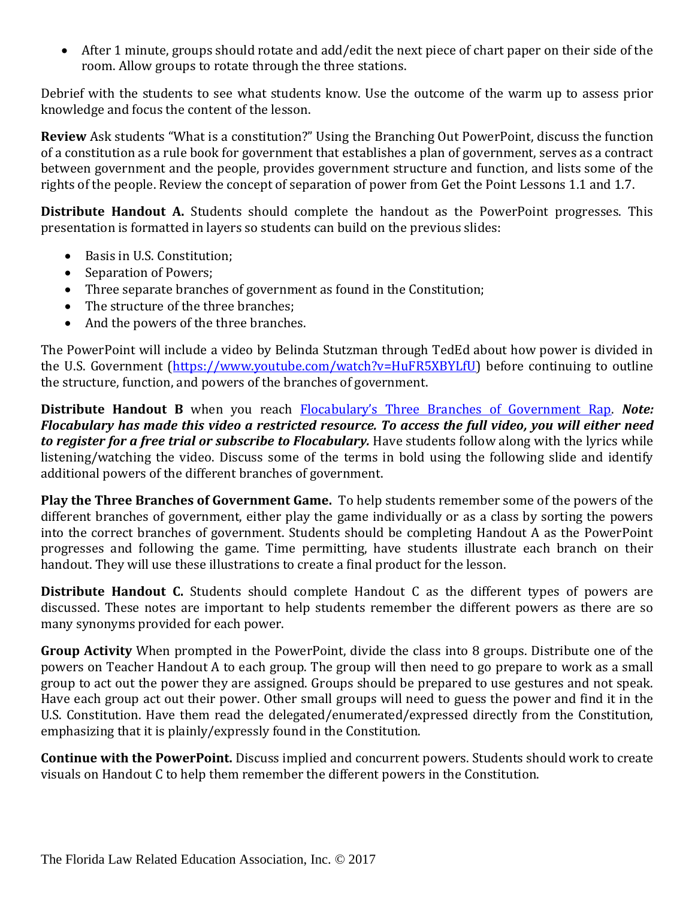• After 1 minute, groups should rotate and add/edit the next piece of chart paper on their side of the room. Allow groups to rotate through the three stations.

Debrief with the students to see what students know. Use the outcome of the warm up to assess prior knowledge and focus the content of the lesson.

**Review** Ask students "What is a constitution?" Using the Branching Out PowerPoint, discuss the function of a constitution as a rule book for government that establishes a plan of government, serves as a contract between government and the people, provides government structure and function, and lists some of the rights of the people. Review the concept of separation of power from Get the Point Lessons 1.1 and 1.7.

**Distribute Handout A.** Students should complete the handout as the PowerPoint progresses. This presentation is formatted in layers so students can build on the previous slides:

- Basis in U.S. Constitution;
- Separation of Powers;
- Three separate branches of government as found in the Constitution;
- The structure of the three branches;
- And the powers of the three branches.

The PowerPoint will include a video by Belinda Stutzman through TedEd about how power is divided in the U.S. Government [\(https://www.youtube.com/watch?v=HuFR5XBYLfU\)](https://www.youtube.com/watch?v=HuFR5XBYLfU) before continuing to outline the structure, function, and powers of the branches of government.

**Distribute Handout B** when you reach [Flocabulary's Three Branches of Government Rap](https://www.flocabulary.com/unit/3-branches-of-government/). *Note: Flocabulary has made this video a restricted resource. To access the full video, you will either need to register for a free trial or subscribe to Flocabulary.* Have students follow along with the lyrics while listening/watching the video. Discuss some of the terms in bold using the following slide and identify additional powers of the different branches of government.

**Play the Three Branches of Government Game.** To help students remember some of the powers of the different branches of government, either play the game individually or as a class by sorting the powers into the correct branches of government. Students should be completing Handout A as the PowerPoint progresses and following the game. Time permitting, have students illustrate each branch on their handout. They will use these illustrations to create a final product for the lesson.

**Distribute Handout C.** Students should complete Handout C as the different types of powers are discussed. These notes are important to help students remember the different powers as there are so many synonyms provided for each power.

**Group Activity** When prompted in the PowerPoint, divide the class into 8 groups. Distribute one of the powers on Teacher Handout A to each group. The group will then need to go prepare to work as a small group to act out the power they are assigned. Groups should be prepared to use gestures and not speak. Have each group act out their power. Other small groups will need to guess the power and find it in the U.S. Constitution. Have them read the delegated/enumerated/expressed directly from the Constitution, emphasizing that it is plainly/expressly found in the Constitution.

**Continue with the PowerPoint.** Discuss implied and concurrent powers. Students should work to create visuals on Handout C to help them remember the different powers in the Constitution.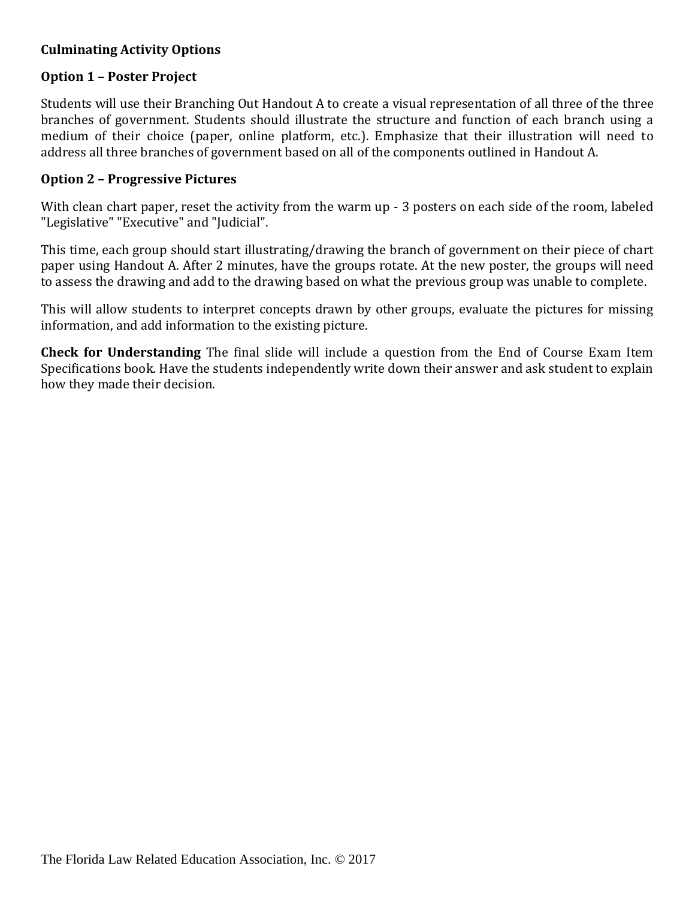#### **Culminating Activity Options**

#### **Option 1 – Poster Project**

Students will use their Branching Out Handout A to create a visual representation of all three of the three branches of government. Students should illustrate the structure and function of each branch using a medium of their choice (paper, online platform, etc.). Emphasize that their illustration will need to address all three branches of government based on all of the components outlined in Handout A.

#### **Option 2 – Progressive Pictures**

With clean chart paper, reset the activity from the warm up - 3 posters on each side of the room, labeled "Legislative" "Executive" and "Judicial".

This time, each group should start illustrating/drawing the branch of government on their piece of chart paper using Handout A. After 2 minutes, have the groups rotate. At the new poster, the groups will need to assess the drawing and add to the drawing based on what the previous group was unable to complete.

This will allow students to interpret concepts drawn by other groups, evaluate the pictures for missing information, and add information to the existing picture.

**Check for Understanding** The final slide will include a question from the End of Course Exam Item Specifications book. Have the students independently write down their answer and ask student to explain how they made their decision.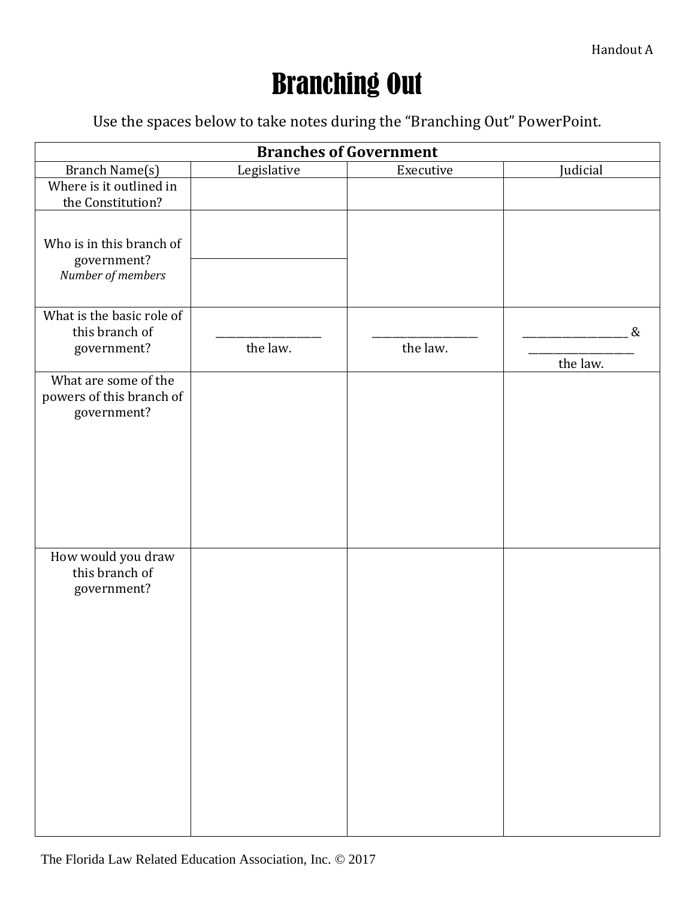## Branching Out

Use the spaces below to take notes during the "Branching Out" PowerPoint.

| <b>Branches of Government</b>                                   |             |           |          |  |
|-----------------------------------------------------------------|-------------|-----------|----------|--|
| <b>Branch Name(s)</b>                                           | Legislative | Executive | Judicial |  |
| Where is it outlined in                                         |             |           |          |  |
| the Constitution?                                               |             |           |          |  |
| Who is in this branch of<br>government?<br>Number of members    |             |           |          |  |
| What is the basic role of                                       |             |           |          |  |
| this branch of                                                  |             |           | &        |  |
| government?                                                     | the law.    | the law.  | the law. |  |
| What are some of the<br>powers of this branch of<br>government? |             |           |          |  |
| How would you draw<br>this branch of<br>government?             |             |           |          |  |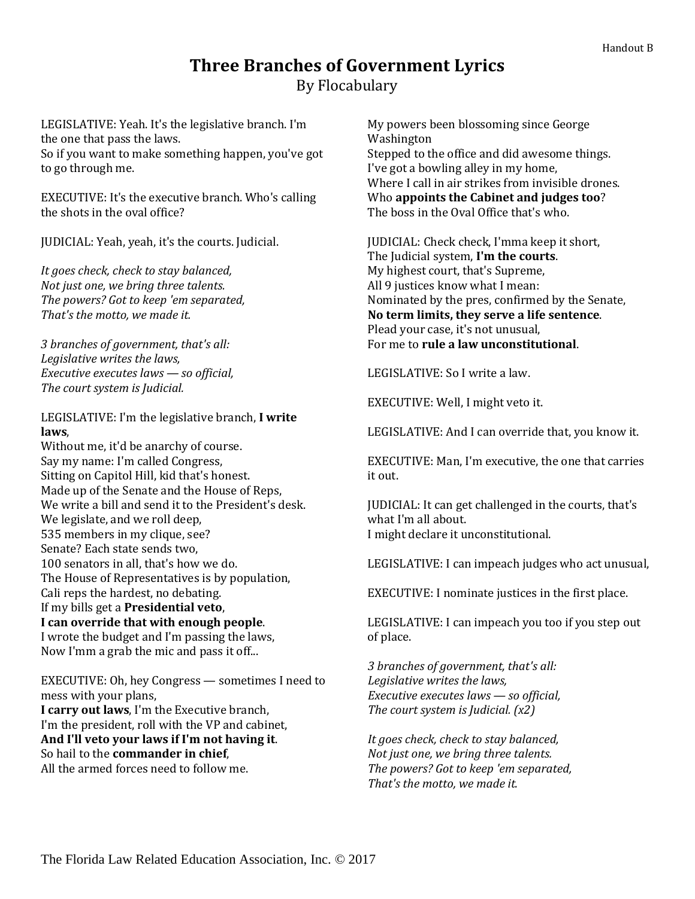#### **Three Branches of Government Lyrics** By Flocabulary

LEGISLATIVE: Yeah. It's the legislative branch. I'm the one that pass the laws. So if you want to make something happen, you've got to go through me.

EXECUTIVE: It's the executive branch. Who's calling the shots in the oval office?

JUDICIAL: Yeah, yeah, it's the courts. Judicial.

*It goes check, check to stay balanced, Not just one, we bring three talents. The powers? Got to keep 'em separated, That's the motto, we made it.*

*3 branches of government, that's all: Legislative writes the laws, Executive executes laws — so official, The court system is Judicial.*

LEGISLATIVE: I'm the legislative branch, **I write laws**,

Without me, it'd be anarchy of course. Say my name: I'm called Congress, Sitting on Capitol Hill, kid that's honest. Made up of the Senate and the House of Reps, We write a bill and send it to the President's desk. We legislate, and we roll deep, 535 members in my clique, see? Senate? Each state sends two, 100 senators in all, that's how we do. The House of Representatives is by population, Cali reps the hardest, no debating. If my bills get a **Presidential veto**, **I can override that with enough people**. I wrote the budget and I'm passing the laws,

Now I'mm a grab the mic and pass it off...

EXECUTIVE: Oh, hey Congress — sometimes I need to mess with your plans, **I carry out laws**, I'm the Executive branch, I'm the president, roll with the VP and cabinet, **And I'll veto your laws if I'm not having it**. So hail to the **commander in chief**, All the armed forces need to follow me.

My powers been blossoming since George Washington Stepped to the office and did awesome things. I've got a bowling alley in my home, Where I call in air strikes from invisible drones. Who **appoints the Cabinet and judges too**? The boss in the Oval Office that's who.

JUDICIAL: Check check, I'mma keep it short, The Judicial system, **I'm the courts**. My highest court, that's Supreme, All 9 justices know what I mean: Nominated by the pres, confirmed by the Senate, **No term limits, they serve a life sentence**. Plead your case, it's not unusual, For me to **rule a law unconstitutional**.

LEGISLATIVE: So I write a law.

EXECUTIVE: Well, I might veto it.

LEGISLATIVE: And I can override that, you know it.

EXECUTIVE: Man, I'm executive, the one that carries it out.

JUDICIAL: It can get challenged in the courts, that's what I'm all about. I might declare it unconstitutional.

LEGISLATIVE: I can impeach judges who act unusual,

EXECUTIVE: I nominate justices in the first place.

LEGISLATIVE: I can impeach you too if you step out of place.

*3 branches of government, that's all: Legislative writes the laws, Executive executes laws — so official, The court system is Judicial. (x2)*

*It goes check, check to stay balanced, Not just one, we bring three talents. The powers? Got to keep 'em separated, That's the motto, we made it.*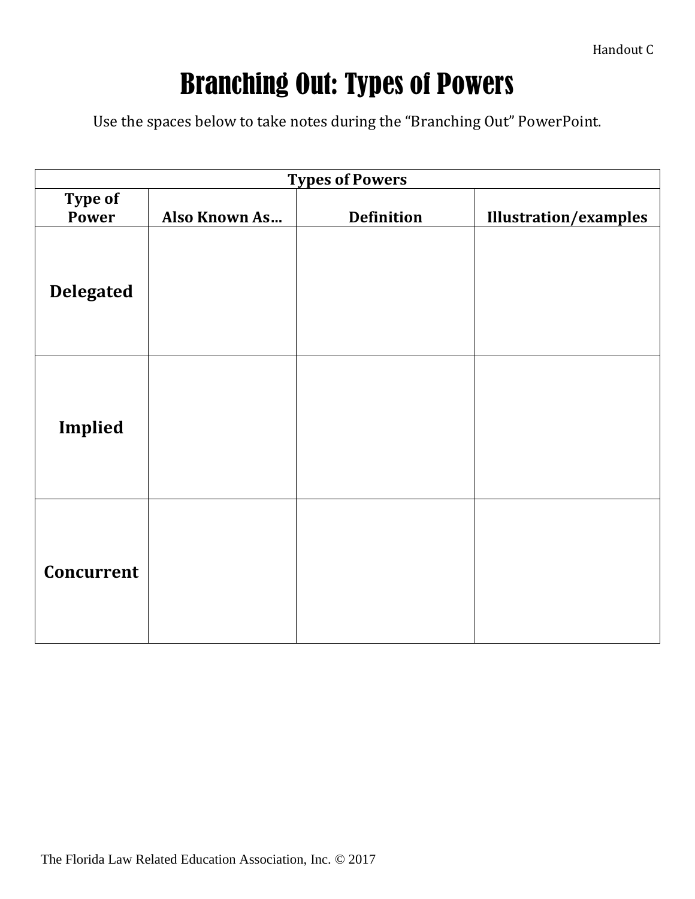## Branching Out: Types of Powers

Use the spaces below to take notes during the "Branching Out" PowerPoint.

| <b>Types of Powers</b> |               |                   |                              |  |
|------------------------|---------------|-------------------|------------------------------|--|
| Type of<br>Power       | Also Known As | <b>Definition</b> | <b>Illustration/examples</b> |  |
| <b>Delegated</b>       |               |                   |                              |  |
| Implied                |               |                   |                              |  |
| <b>Concurrent</b>      |               |                   |                              |  |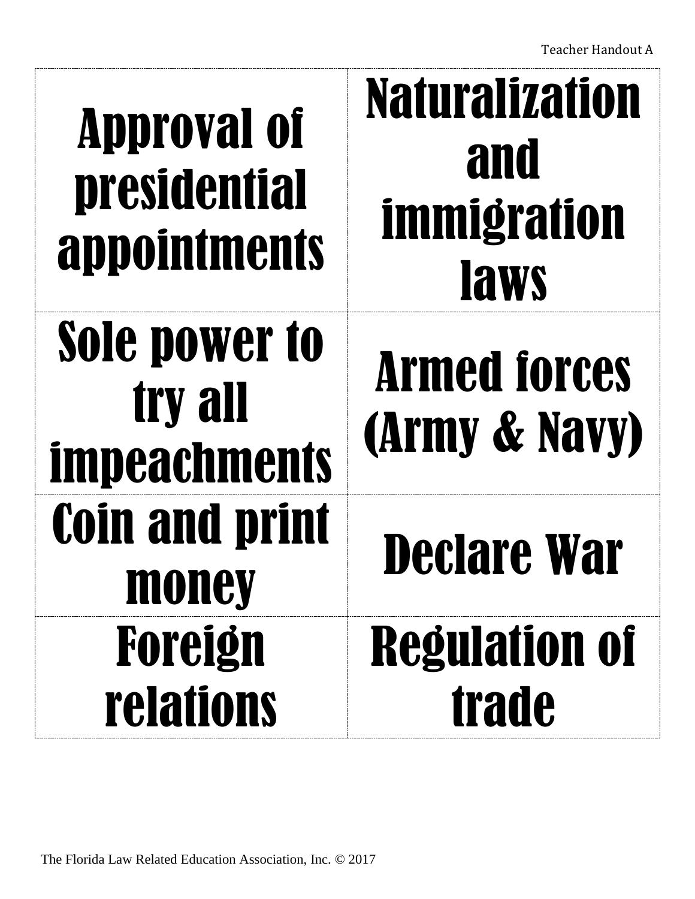| <b>Approval of</b><br><b>presidential</b><br>appointments | <b>Naturalization</b><br>and<br>immigration<br><b>laws</b><br><b>Armed forces</b><br>(Army & Navy) |  |
|-----------------------------------------------------------|----------------------------------------------------------------------------------------------------|--|
| <b>Sole power to</b><br>try all<br><b>impeachments</b>    |                                                                                                    |  |
| <b>Coin and print</b><br><b>HIQUEY</b>                    | <b>Declare War</b>                                                                                 |  |
| Foreign<br><b>relations</b>                               | <b>Regulation of</b><br><b>trade</b>                                                               |  |